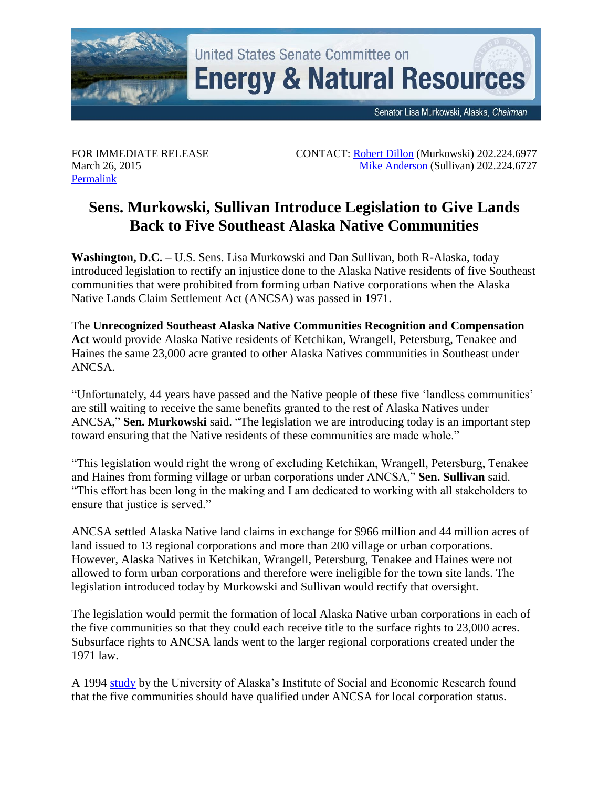

United States Senate Committee on **Energy & Natural Resources** 

Senator Lisa Murkowski, Alaska, Chairman

FOR IMMEDIATE RELEASE March 26, 2015 [Permalink](http://www.energy.senate.gov/public/index.cfm/republican-news?ID=df80a1ef-3042-4fc9-8587-1da9a7d2a403)

 CONTACT: [Robert Dillon](mailto:Robert_Dillon@energy.senate.gov) (Murkowski) 202.224.6977 Mike [Anderson](mailto:Mike_Anderson@sullivan.senate.gov) (Sullivan) 202.224.6727

## **Sens. Murkowski, Sullivan Introduce Legislation to Give Lands Back to Five Southeast Alaska Native Communities**

**Washington, D.C. –** U.S. Sens. Lisa Murkowski and Dan Sullivan, both R-Alaska, today introduced legislation to rectify an injustice done to the Alaska Native residents of five Southeast communities that were prohibited from forming urban Native corporations when the Alaska Native Lands Claim Settlement Act (ANCSA) was passed in 1971.

The **Unrecognized Southeast Alaska Native Communities Recognition and Compensation Act** would provide Alaska Native residents of Ketchikan, Wrangell, Petersburg, Tenakee and Haines the same 23,000 acre granted to other Alaska Natives communities in Southeast under ANCSA.

"Unfortunately, 44 years have passed and the Native people of these five 'landless communities' are still waiting to receive the same benefits granted to the rest of Alaska Natives under ANCSA," **Sen. Murkowski** said. "The legislation we are introducing today is an important step toward ensuring that the Native residents of these communities are made whole."

"This legislation would right the wrong of excluding Ketchikan, Wrangell, Petersburg, Tenakee and Haines from forming village or urban corporations under ANCSA," **Sen. Sullivan** said. "This effort has been long in the making and I am dedicated to working with all stakeholders to ensure that justice is served."

ANCSA settled Alaska Native land claims in exchange for \$966 million and 44 million acres of land issued to 13 regional corporations and more than 200 village or urban corporations. However, Alaska Natives in Ketchikan, Wrangell, Petersburg, Tenakee and Haines were not allowed to form urban corporations and therefore were ineligible for the town site lands. The legislation introduced today by Murkowski and Sullivan would rectify that oversight.

The legislation would permit the formation of local Alaska Native urban corporations in each of the five communities so that they could each receive title to the surface rights to 23,000 acres. Subsurface rights to ANCSA lands went to the larger regional corporations created under the 1971 law.

A 1994 [study](http://www.energy.senate.gov/public/index.cfm/files/serve?File_id=33d8eb20-3500-485b-8d27-c64ab608a5a0) by the University of Alaska's Institute of Social and Economic Research found that the five communities should have qualified under ANCSA for local corporation status.